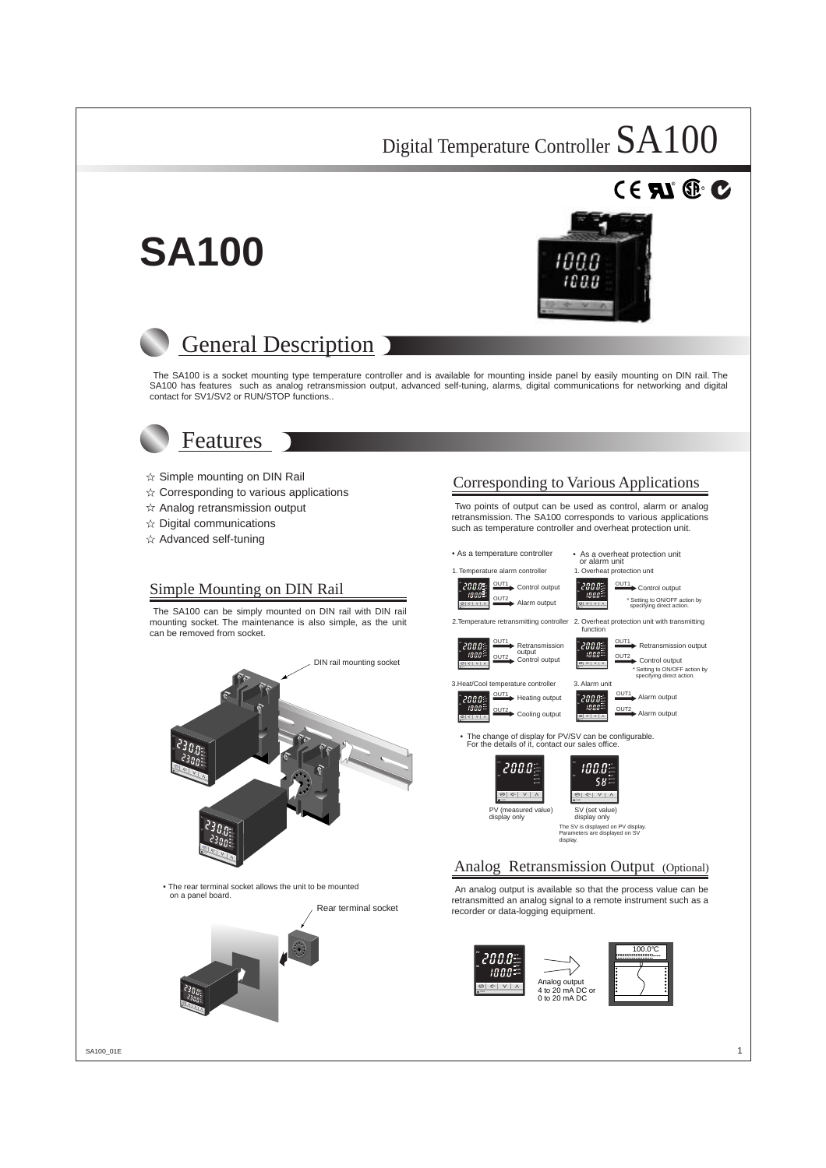# **SA100**



 $^{\circ}$  RD.



The SA100 is a socket mounting type temperature controller and is available for mounting inside panel by easily mounting on DIN rail. The SA100 has features such as analog retransmission output, advanced self-tuning, alarms, digital communications for networking and digital contact for SV1/SV2 or RUN/STOP functions..



### Features

- $\hat{x}$  Simple mounting on DIN Rail
- $\hat{\mathbf{x}}$  Corresponding to various applications
- $\hat{x}$  Analog retransmission output
- $\angle$  Digital communications
- $\hat{x}$  Advanced self-tuning

#### Simple Mounting on DIN Rail

The SA100 can be simply mounted on DIN rail with DIN rail mounting socket. The maintenance is also simple, as the unit can be removed from socket.



• The rear terminal socket allows the unit to be mounted on a panel board.



### Corresponding to Various Applications

Two points of output can be used as control, alarm or analog retransmission. The SA100 corresponds to various applications such as temperature controller and overheat protection unit.

1. Temperature alarm controller

**SET** R/S

**SET** R/S

**SET** R/S

AT OUT1 OUT2  $\overline{\phantom{a}}$  $\overline{\phantom{a}}$ ALM2

AT OUT1  $\mathbf{r}$ ALM1 SV2 ALM2

- As a temperature controller As a overheat protection unit or alarm unit
	- 1. Overheat protection unit



2.Temperature retransmitting controller

OUT1 Retransmission OUT2 Control output

 $\lbrack$  200.0 $\pm$  $1000$ **SET** R/S

**SET** REA

AT OUT1 OUT2 ALM1 SV2 ALM2

OUT1<br>Control output \* Setting to ON/OFF action by specifying direct action.

2. Overheat protection unit with transmitting



Retransmission  $2000 = 0001$  Retransmission output

\* Setting to ON/OFF action by specifying direct action.

OUT1 Alarm output OUT2<br>Alarm output

OUT2 Control output

3.Heat/Cool temperature controller 3. Alarm unit

- OUT1 Heating output OUT2 Cooling output
- The change of display for PV/SV can be configurable. For the details of it, contact our sales office.

**SET** R/S





PV (measured value) display only

display only The SV is displayed on PV display. Parameters are displayed on SV display.

#### Analog Retransmission Output (Optional)

An analog output is available so that the process value can be retransmitted an analog signal to a remote instrument such as a recorder or data-logging equipment.







Analog output 4 to 20 mA DC or 0 to 20 mA DC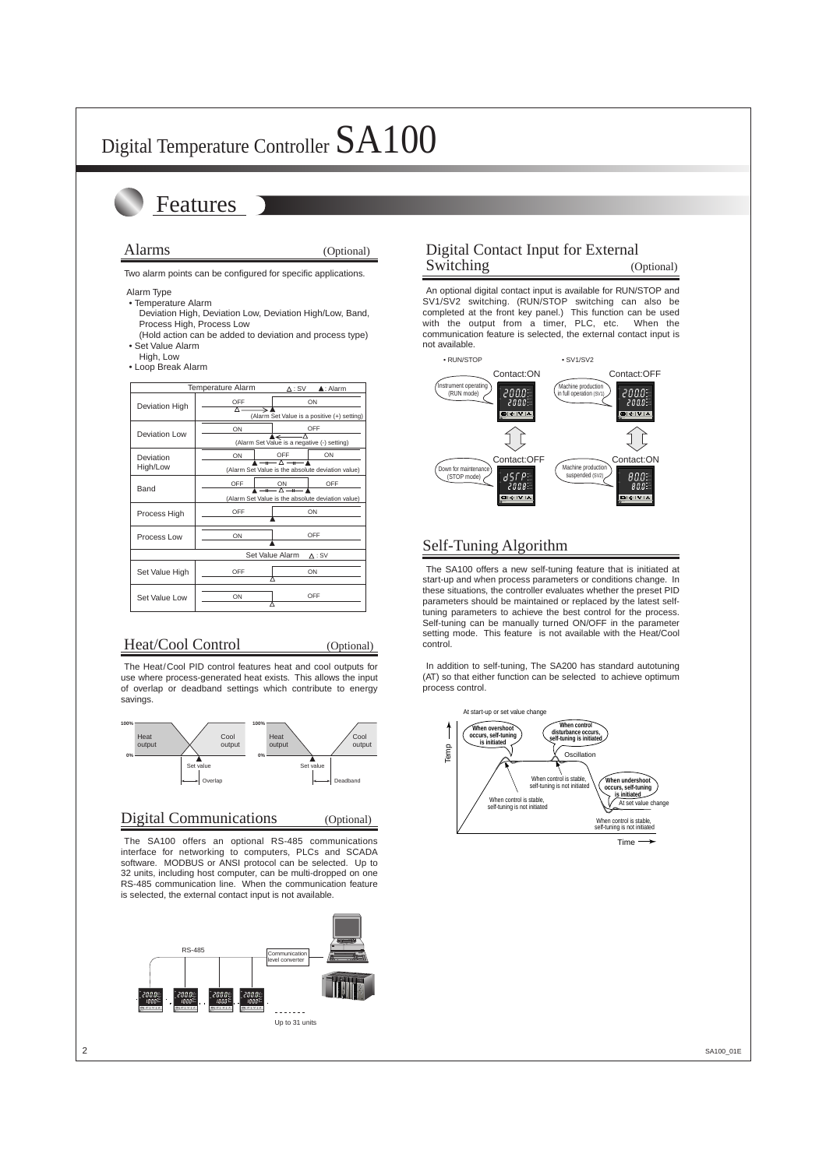## Features

#### Alarms (Optional)

Two alarm points can be configured for specific applications.

- Alarm Type
- Temperature Alarm
	- Deviation High, Deviation Low, Deviation High/Low, Band, Process High, Process Low
- (Hold action can be added to deviation and process type) • Set Value Alarm
- High, Low
- Loop Break Alarm

|                | <b>Temperature Alarm</b>                          | $\Delta$ : SV                                     | $\triangle$ : Alarm                                |  |  |  |  |
|----------------|---------------------------------------------------|---------------------------------------------------|----------------------------------------------------|--|--|--|--|
| Deviation High | OFF<br>Δ.                                         | ON                                                |                                                    |  |  |  |  |
|                | ON                                                |                                                   | (Alarm Set Value is a positive (+) setting)<br>OFF |  |  |  |  |
| Deviation Low  |                                                   | ▲←<br>(Alarm Set Value is a negative (-) setting) |                                                    |  |  |  |  |
| Deviation      | ON                                                | OFF                                               | ON                                                 |  |  |  |  |
| High/Low       |                                                   | $-$ + $ \wedge$ $-$ + $-$                         | (Alarm Set Value is the absolute deviation value)  |  |  |  |  |
| Band           | OFF                                               | ON<br>$\sqrt{-n}$ $\sqrt{-n}$                     | OFF                                                |  |  |  |  |
|                | (Alarm Set Value is the absolute deviation value) |                                                   |                                                    |  |  |  |  |
| Process High   | OFF                                               |                                                   | ON                                                 |  |  |  |  |
| Process Low    | ON                                                |                                                   | OFF                                                |  |  |  |  |
|                |                                                   | Set Value Alarm                                   | $\Delta$ : SV                                      |  |  |  |  |
| Set Value High | OFF                                               |                                                   | ON                                                 |  |  |  |  |
| Set Value Low  | ON                                                |                                                   | OFF                                                |  |  |  |  |

### Heat/Cool Control (Optional)

The Heat/Cool PID control features heat and cool outputs for use where process-generated heat exists. This allows the input of overlap or deadband settings which contribute to energy savings.



#### Digital Communications (Optional)

The SA100 offers an optional RS-485 communications interface for networking to computers, PLCs and SCADA software. MODBUS or ANSI protocol can be selected. Up to 32 units, including host computer, can be multi-dropped on one RS-485 communication line. When the communication feature is selected, the external contact input is not available.



### Digital Contact Input for External Switching (Optional)

An optional digital contact input is available for RUN/STOP and SV1/SV2 switching. (RUN/STOP switching can also be completed at the front key panel.) This function can be used with the output from a timer, PLC, etc. When the communication feature is selected, the external contact input is not available.



### Self-Tuning Algorithm

The SA100 offers a new self-tuning feature that is initiated at start-up and when process parameters or conditions change. In these situations, the controller evaluates whether the preset PID parameters should be maintained or replaced by the latest selftuning parameters to achieve the best control for the process. Self-tuning can be manually turned ON/OFF in the parameter setting mode. This feature is not available with the Heat/Cool control.

In addition to self-tuning, The SA200 has standard autotuning (AT) so that either function can be selected to achieve optimum process control.

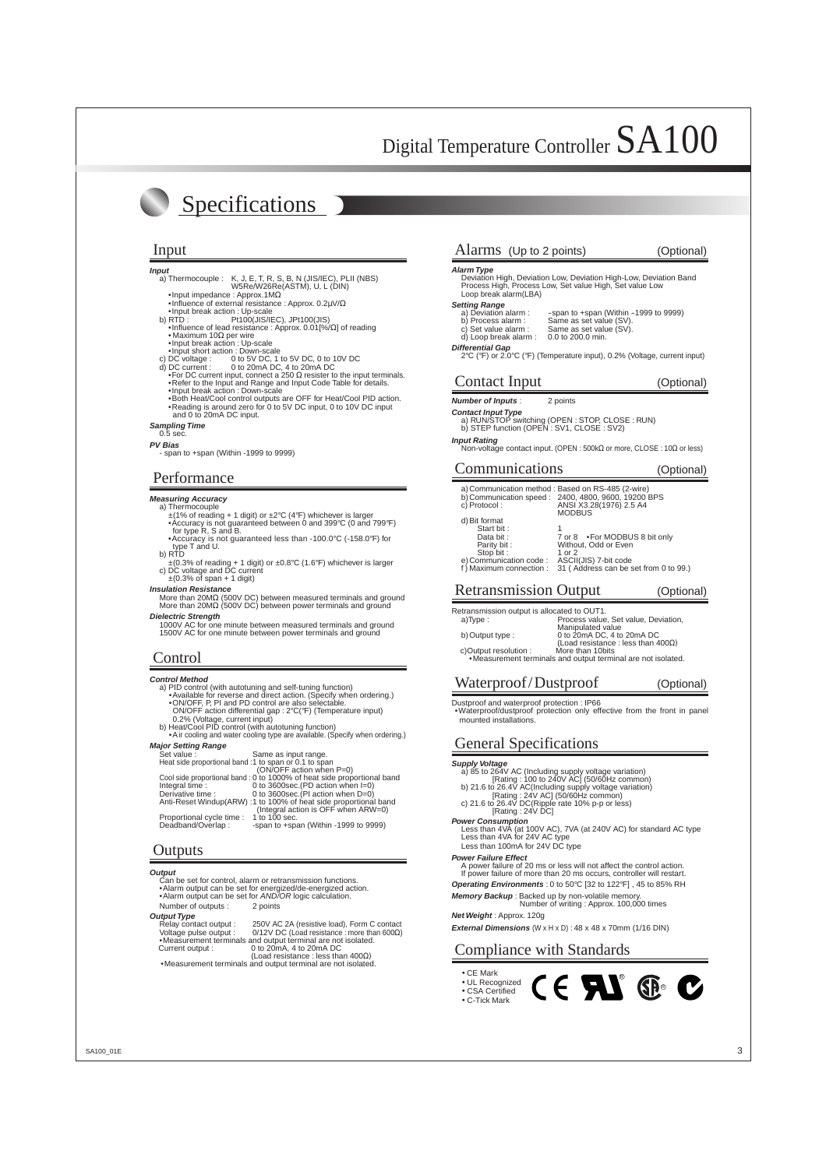## Specifications

#### **Input**

- a) Thermocouple : K, J, E, T, R, S, B, N (JIS/IEC), PLII (NBS)<br>W5Re/W26Re(ASTM), U, L (DIN)<br>•Input impedance : Approx.1MΩ
- 
- •Influence of external resistance : Approx. 0.2µV/<sup>Ω</sup> •Input break action : Up-scale
	-
	-
	-
	-
	-
- 
- b) RTD :<br>
 Influence of lead resistance : Approx. 0.01[%/Ω] of reading<br>
 Maximum 10Ω per wire<br>
 Input break action : Up-scale<br>
 Input short action : Down-scale<br>
c) DC vortage : 0 to 5V DC, 1 to 5V DC, 0 to 10V DC<br>
d)
	-
- •Refer to the Input and Range and Input Code Table for details.<br>•Input break action : Down-scale<br>•Both Heat/Cool control outputs are OFF for Heat/Cool PID action.<br>•Reading is around zero for 0 to 5V DC input, 0 to 10V DC and 0 to 20mA DC input.
- 

#### **Sampling Time** 0.5 sec.

#### **PV Bias**

- span to +span (Within -1999 to 9999)

#### Performance

#### **Measuring Accuracy**

- 
- a) Thermocouple  $\pm$ (1% of reading + 1 digit) or  $\pm$ 2°C (4°F) whichever is larger •Accuracy is not guaranteed between 0 and 399°C (0 and 799°F)<br>•Accuracy is not guaranteed between 0 and 399°C (0 and 799°F)
- **for type T** and U. **b for type T** and U. b) RTD
- 
- ±(0.3% of reading + 1 digit) or ±0.8°C (1.6°F) whichever is larger c) DC voltage and DC current ±(0.3% of span + 1 digit)

**Insulation Resistance**<br> **Insulation Resistance**<br>
More than 20MΩ (500V DC) between measured terminals and ground<br>
More than 20MΩ (500V DC) between power terminals and ground

**Dielectric Strength** 1000V AC for one minute between measured terminals and ground 1500V AC for one minute between power terminals and ground

#### **Control**

#### **Control Method**

- 
- A PID control (with autotuning and self-tuning function)<br>• Available for reverse and direct action. (Specify when ordering.)<br>• ON/OFF, P, PI and PD control are also selectable.<br>• ON/OFF action differential gap : 2°C(°F) (T
- 0.2% (Voltage, current input) b) Heat/Cool PID control (with autotuning function)
- Air cooling and water cooling type are available. (Specify when ordering.)

#### **Major Setting Range**

| Set value:                                            | Same as input range.                                                   |
|-------------------------------------------------------|------------------------------------------------------------------------|
| Heat side proportional band :1 to span or 0.1 to span |                                                                        |
|                                                       | (ON/OFF action when P=0)                                               |
|                                                       | Cool side proportional band: 0 to 1000% of heat side proportional band |
| Integral time:                                        | 0 to 3600sec. (PD action when $I=0$ )                                  |
| Derivative time :                                     | 0 to 3600sec. (PI action when D=0)                                     |
|                                                       | Anti-Reset Windup(ARW) :1 to 100% of heat side proportional band       |
|                                                       | (Integral action is OFF when ARW=0)                                    |
| Proportional cycle time : 1 to 100 sec.               |                                                                        |
| Deadband/Overlap:                                     | -span to +span (Within -1999 to 9999)                                  |
|                                                       |                                                                        |

#### **Outputs**

**Output**<br>Can be set for control, alarm or retransmission functions Can be set for control, alarm or retrainsmission functions.<br>•Alarm output can be set for energized/de-energized action.<br>•Alarm output can be set for AND/OR logic calculation. Number of outputs : 2 points **Output Type**<br>Relay contact output : Relay contact output : 250V AC 2A (resistive load), Form C contact<br>Voltage pulse output : 0/12V DC (Load resistance : more than 600Ω)<br>●Measurement terminals and output terminal are not isolated. Current output : 0 to 20mA, 4 to 20mA DC (Load resistance : less than 400Ω)

•Measurement terminals and output terminal are not isolated.

#### Input Alarms (Up to 2 points) (Optional)

**Alarm Type** Deviation High, Deviation Low, Deviation High-Low, Deviation Band Process High, Process Low, Set value High, Set value Low Loop break alarm(LBA)

#### **Setting Range**

- a) Deviation alarm : -span to +span (Within -1999 to 9999) b) Process alarm : Same as set value (SV). c) Set value alarm : Same as set value (SV).
	-
- $\overrightarrow{d}$ ) Loop break alarm : 0.0 to 200.0 min.

### **Differential Gap**<br>
2°C (°F) or 2.0°C (°F) (Temperature input), 0.2% (Voltage, current input)

#### Contact Input (Optional)

#### **Number of Inputs** : 2 points

**Contact Input Type**<br>
a) RUN/STOP switching (OPEN : STOP, CLOSE : RUN)<br>
b) STEP function (OPEN : SV1, CLOSE : SV2)

#### **Input Rating**

Non-voltage contact input. (OPEN : 500kΩ or more, CLOSE : 10Ω or less)

#### Communications (Optional)

| c) Protocol:                        | a) Communication method: Based on RS-485 (2-wire)<br>b) Communication speed: 2400, 4800, 9600, 19200 BPS<br>ANSI X3.28(1976) 2.5 A4<br><b>MODBUS</b> |
|-------------------------------------|------------------------------------------------------------------------------------------------------------------------------------------------------|
| d) Bit format<br>Start bit:         |                                                                                                                                                      |
| Data bit:                           | 7 or 8 • For MODBUS 8 bit only                                                                                                                       |
| Parity bit:                         | Without, Odd or Even<br>1 or 2                                                                                                                       |
| Stop bit:<br>e) Communication code: | ASCII(JIS) 7-bit code                                                                                                                                |
| f) Maximum connection :             | 31 (Address can be set from 0 to 99.)                                                                                                                |

#### Retransmission Output (Optional)

Retransmission output is allocated to OUT1.<br>a)Type: Process value

Process value, Set value, Deviation, Manipulated value b) Output type : 0 to 20mA DC, 4 to 20mA DC (Load resistance : less than  $400\Omega$ )<br>More than 10bits c)Output resolution :

•Measurement terminals and output terminal are not isolated.

#### Waterproof/Dustproof (Optional)

Dustproof and waterproof protection : IP66 •Waterproof/dustproof protection only effective from the front in panel mounted installations.

#### General Specifications

#### **Supply Voltage**

- a) 85 to 264V AC (Including supply voltage variation) [Rating : 100 to 240V AC] (50/60Hz common) b) 21.6 to 26.4V AC(Including supply voltage variation)
- 
- 
- [Rating : 24V AC] (50/60Hz common) c) 21.6 to 26.4V DC(Ripple rate 10% p-p or less)

#### $[Rating : 24V \dot{D}C]$

- **Power Consumption**<br>Less than 4VA (at 100V AC), 7VA (at 240V AC) for standard AC type<br>Less than 4VA for 24V AC type
	- Less than 100mA for 24V DC type

#### **Power Failure Effect**

- A power failure of 20 ms or less will not affect the control action. If power failure of more than 20 ms occurs, controller will restart.
- **Operating Environments** : 0 to 50°C [32 to 122°F] , 45 to 85% RH
- **Memory Backup** : Backed up by non-volatile memory. Number of writing : Approx. 100,000 times

**Net Weight** : Approx. 120g

**External Dimensions** (W x H x D) :  $48$  x  $48$  x  $70$ mm ( $1/16$  DIN)

### Compliance with Standards

- CE Mark • UL Recognized
- CSA Certified • C-Tick Mark

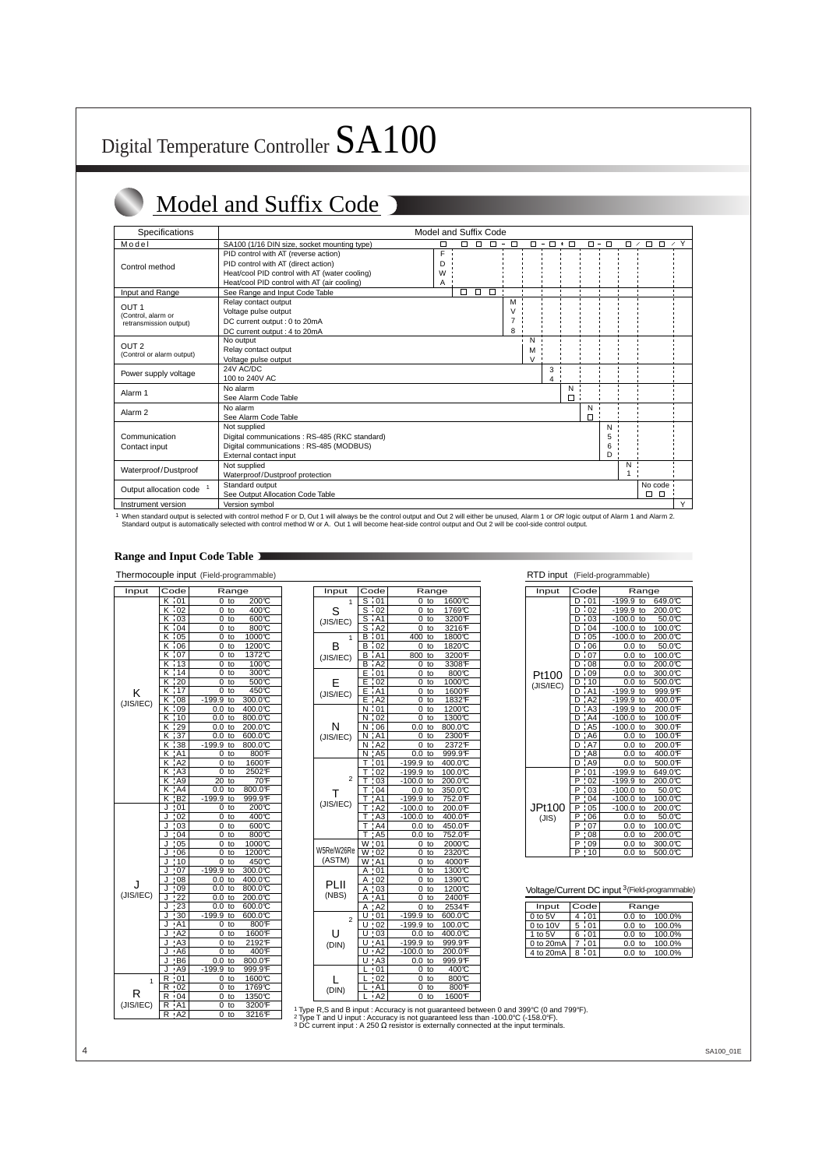# Digital Temperature Controller SA100

## Model and Suffix Code

| <b>Specifications</b>                                            |                                                                                                                                                                             | Model and Suffix Code |        |        |        |                       |                  |                |               |                |                  |         |                            |            |
|------------------------------------------------------------------|-----------------------------------------------------------------------------------------------------------------------------------------------------------------------------|-----------------------|--------|--------|--------|-----------------------|------------------|----------------|---------------|----------------|------------------|---------|----------------------------|------------|
| Model                                                            | SA100 (1/16 DIN size, socket mounting type)                                                                                                                                 | □                     | $\Box$ | $\Box$ | $\Box$ | $\Box$<br>$\sim$      | $\Box =$         | $\Box$         | $\ast$ $\Box$ |                | $\Box = \Box$    | $\Box$  | $\Box$ $\Box$<br>$^\prime$ | $\prime$ Y |
| Control method                                                   | PID control with AT (reverse action)<br>PID control with AT (direct action)<br>Heat/cool PID control with AT (water cooling)<br>Heat/cool PID control with AT (air cooling) | F<br>D<br>W<br>A      |        |        |        |                       |                  |                |               |                |                  |         |                            |            |
| Input and Range                                                  | See Range and Input Code Table                                                                                                                                              |                       | ◻      |        | $\Box$ |                       |                  | $\blacksquare$ |               | $\blacksquare$ |                  |         |                            |            |
| OUT <sub>1</sub><br>(Control, alarm or<br>retransmission output) | Relay contact output<br>Voltage pulse output<br>DC current output : 0 to 20mA<br>DC current output: 4 to 20mA                                                               |                       |        |        |        | м<br>$\vee$<br>7<br>8 |                  |                |               |                |                  |         |                            |            |
| OUT <sub>2</sub><br>(Control or alarm output)                    | No output<br>Relay contact output<br>Voltage pulse output                                                                                                                   |                       |        |        |        |                       | N<br>M<br>$\vee$ |                |               |                |                  |         |                            |            |
| Power supply voltage                                             | 24V AC/DC<br>100 to 240V AC                                                                                                                                                 |                       |        |        |        |                       |                  | 3<br>4         |               |                |                  |         |                            |            |
| Alarm <sub>1</sub>                                               | No alarm<br>See Alarm Code Table                                                                                                                                            |                       |        |        |        |                       |                  |                | N<br>$\Box$   |                |                  |         |                            |            |
| Alarm <sub>2</sub>                                               | No alarm<br>See Alarm Code Table                                                                                                                                            |                       |        |        |        |                       |                  |                |               | N<br>$\Box$    |                  |         |                            |            |
| Communication<br>Contact input                                   | Not supplied<br>Digital communications: RS-485 (RKC standard)<br>Digital communications: RS-485 (MODBUS)<br>External contact input                                          |                       |        |        |        |                       |                  |                |               |                | N<br>5<br>6<br>D |         |                            |            |
| Waterproof/Dustproof                                             | Not supplied<br>Waterproof/Dustproof protection                                                                                                                             |                       |        |        |        |                       |                  |                |               |                |                  | N<br>-1 |                            |            |
| Output allocation code <sup>1</sup>                              | Standard output<br>See Output Allocation Code Table                                                                                                                         |                       |        |        |        |                       |                  |                |               |                |                  |         | No code<br>П.<br>$\Box$    |            |
| Instrument version                                               | Version symbol                                                                                                                                                              |                       |        |        |        |                       |                  |                |               |                |                  |         |                            | Y          |

1 When standard output is selected with control method F or D, Out 1 will always be the control output and Out 2 will either be unused, Alarm 1 or OR logic output of Alarm 1 and Alarm 2<br>Standard output is automatically sel

#### **Range and Input Code Table**

#### Thermocouple input (Field-programmable)

| Input     | Code                        | Range          |         |
|-----------|-----------------------------|----------------|---------|
|           | K i 01                      | 0<br>to        | 200℃    |
|           | Κ<br>02                     | 0<br>to        | 400°C   |
|           | $\frac{1}{1}03$<br>Κ        | 0<br>to        | 600C    |
|           | Κ<br>$\cdot$ 04             | 0<br>to        | 800C    |
|           | $\frac{1}{105}$<br>Κ        | 0<br>to        | 1000℃   |
|           | $\frac{1}{1}06$<br>Κ        | 0<br>to        | 1200℃   |
|           | $\frac{1}{1}07$<br>ĸ        | 0<br>to        | 1372℃   |
|           | K                           | 0<br>to        | 100C    |
|           | $\frac{113}{14}$<br>Κ       | 0<br>to        | 300°C   |
|           | $\overline{20}$<br>K        | 0              | 500℃    |
|           | Ţ<br>K<br>-17               | to             |         |
| κ         |                             | to<br>0        | 450℃    |
| (JIS/IEC) | $\frac{1}{2}08$<br>κ        | $-199.9$<br>to | 300.0°C |
|           | Κ<br>09                     | 0.0<br>to      | 400.0℃  |
|           | ĸ<br>10                     | 0.0<br>to      | 800.0°C |
|           | K<br>29                     | 0.0<br>to      | 200.0C  |
|           | $\overline{37}$<br>Κ        | 0.0<br>to      | 00.00   |
|           | K<br>38                     | $-199.9$<br>to | 800.0°C |
|           | AA<br>Κ                     | to<br>0        | 800°F   |
|           | AA2<br>Κ                    | 0<br>to        | 1600F   |
|           | A3<br>Κ                     | 0<br>to        | 2502F   |
|           | K<br>A9                     | 20<br>to       | 70F     |
|           | A4<br>Κ                     | 0.0<br>to      | 800.0F  |
|           | κ<br>B2                     | $-199.9$<br>to | 999.9F  |
|           | $\overline{01}$<br>J        | to<br>0        | 200℃    |
|           | J<br>02                     | 0<br>to        | 400°C   |
|           | J<br>03                     | 0<br>to        | 600°C   |
|           | J<br>04                     | 0<br>to        | 800°C   |
|           | J                           | 0<br>to        | 1000℃   |
|           | $\frac{105}{06}$<br>J<br>06 | 0<br>to        | 1200℃   |
|           | $\frac{1}{10}$<br>J         | to<br>0        | 450℃    |
|           | 07<br>J                     | $-199.9$<br>to | 300.0℃  |
|           | $\frac{1}{108}$<br>J        | to<br>0.0      | 400.0°C |
| . I       | J<br>.09                    | 0.0<br>to      | 800.0°C |
| (JIS/IEC) | J                           | 0.0<br>to      | 200.0℃  |
|           | $\frac{122}{23}$<br>J       | 0.0<br>to      | 600.0℃  |
|           |                             | $-199.9$       | 600.0℃  |
|           | 30<br>J                     | to             |         |
|           | AA1<br>J                    | to<br>0        | 800F    |
|           | A2<br>J                     | 0<br>to        | 1600F   |
|           | A3<br>J                     | 0<br>to        | 2192F   |
|           | J<br>: A6                   | 0<br>to        | 400F    |
|           | B6<br>J                     | 0.0<br>to      | 800.0°F |
|           | J<br>AA9                    | $-199.9$<br>to | 999.9F  |
| 1         | .01<br>R                    | to<br>0        | 1600℃   |
|           | R<br>$\frac{1}{2}$ 02       | 0<br>to        | 1769℃   |
| R         | R<br>.04                    | 0<br>to        | 1350°C  |
| (JIS/IEC) | R<br>' A1                   | 0<br>to        | 3200F   |
|           | R<br>A2                     | 0<br>to        | 3216F   |

| Input          | Code                             | Range          |               |  |  |  |  |  |  |
|----------------|----------------------------------|----------------|---------------|--|--|--|--|--|--|
| 1              | S<br>i 01                        | 0<br>to        | 1600℃         |  |  |  |  |  |  |
| S              | $\frac{1}{1}02$<br>s             | 0<br>to        | 1769℃         |  |  |  |  |  |  |
| (JIS/IEC)      | S<br>. A1                        | 0<br>to        | 3200F         |  |  |  |  |  |  |
|                | $\overline{A2}$<br>S             | 0<br>to        | 3216°F        |  |  |  |  |  |  |
| 1              | В<br>$\frac{1}{101}$             | 400<br>to      | 1800℃         |  |  |  |  |  |  |
| B              | в<br>i 02                        | to<br>0        | 1820℃         |  |  |  |  |  |  |
| (JIS/IEC)      | AA1<br>В                         | 800<br>to      | 3200°F        |  |  |  |  |  |  |
|                | B<br>. A2                        | 0<br>to        | 3308F         |  |  |  |  |  |  |
|                | $\overline{\phantom{0}}$ 01<br>E | 0<br>to        | 800°C         |  |  |  |  |  |  |
| E              | Е<br>02                          | 0<br>to        | 1000℃         |  |  |  |  |  |  |
| (JIS/IEC)      | A <sub>1</sub><br>E              | to<br>0        | 1600°F        |  |  |  |  |  |  |
|                | A <sub>2</sub><br>E              | 0<br>to        | 1832F         |  |  |  |  |  |  |
|                | Ν<br>01                          | to<br>0        | 1200℃         |  |  |  |  |  |  |
|                | 02<br>Ν                          | 0<br>to        | 1300℃         |  |  |  |  |  |  |
| N              | Ν<br>.06                         | 0.0<br>to      | 800.0℃        |  |  |  |  |  |  |
| (JIS/IEC)      | Ν<br>A1                          | 0<br>to        | 2300F         |  |  |  |  |  |  |
|                | AA2<br>Ν                         | 0<br>to        | 2372F         |  |  |  |  |  |  |
|                | Ν<br>A <sub>5</sub>              | to<br>0.0      | 999.9F        |  |  |  |  |  |  |
|                | Т<br>01                          | $-199.9$<br>to | 400.0℃        |  |  |  |  |  |  |
|                | т<br>02                          | $-199.9$<br>to | 100.0℃        |  |  |  |  |  |  |
| $\overline{2}$ | T<br>03                          | $-100.0$<br>to | 200.0℃        |  |  |  |  |  |  |
| л.             | T<br>04                          | to<br>0.0      | 350.0°C       |  |  |  |  |  |  |
| (JIS/IEC)      | T<br>A1                          | $-199.9$<br>to | 752.0F        |  |  |  |  |  |  |
|                | Т<br>A2                          | $-100.0$<br>to | 200.0°F       |  |  |  |  |  |  |
|                | T<br>A <sub>3</sub>              | $-100.0$<br>to | 400.0F        |  |  |  |  |  |  |
|                | T<br>A4                          | 0.0<br>to      | 450.0F        |  |  |  |  |  |  |
|                | T<br>A <sub>5</sub>              | 0.0<br>to      | 752.0F        |  |  |  |  |  |  |
|                | W<br>01                          | 0<br>to        | 2000℃         |  |  |  |  |  |  |
| W5Re/W26Re     | 02<br>W                          | 0<br>to        | 2320℃         |  |  |  |  |  |  |
| (ASTM)         | W<br>: A1                        | to<br>0        | 4000°F        |  |  |  |  |  |  |
|                | А<br>01                          | 0<br>to        | 1300℃         |  |  |  |  |  |  |
| PLII           | А<br>02                          | 0<br>to        | 1390℃         |  |  |  |  |  |  |
|                | Α<br>03                          | 0<br>to        | 1200℃         |  |  |  |  |  |  |
| (NBS)          | Α<br>: A1                        | 0<br>to        | 2400°F        |  |  |  |  |  |  |
|                | A<br>: A2                        | 0<br>to        | 2534F         |  |  |  |  |  |  |
| $\overline{2}$ | 01<br>U                          | $-199.9$<br>to | $600.0^\circ$ |  |  |  |  |  |  |
|                | ı<br>U<br>02                     | $-199.9$<br>to | 100.0°C       |  |  |  |  |  |  |
| U              | $\frac{1}{2}03$<br>U             | 0.0<br>to      | 400.0℃        |  |  |  |  |  |  |
| (DIN)          | U<br>' A1                        | $-199.9$<br>to | 999.9F        |  |  |  |  |  |  |
|                | AA2<br>U                         | $-100.0$<br>to | 200.0F        |  |  |  |  |  |  |
|                | A3                               | 0.0<br>to      | 999.9F        |  |  |  |  |  |  |
|                | f,<br>01<br>ı                    | to<br>0        | 400°C         |  |  |  |  |  |  |
|                | $\frac{1}{2}$ 02<br>ı            | 0<br>to        | 800C          |  |  |  |  |  |  |
| (DIN)          | ' A1                             | 0<br>to        | 800F          |  |  |  |  |  |  |
|                | A2<br>ı.                         | 0<br>to        | 1600F         |  |  |  |  |  |  |

#### RTD input (Field-programmable)

| Input     | Code                  | Range                    |
|-----------|-----------------------|--------------------------|
|           | i 01                  | 649.0℃<br>-199.9<br>to   |
|           | 02                    | 200.0℃<br>$-199.9$<br>to |
|           | $\overline{03}$       | 50.0℃<br>$-100.0$<br>to  |
|           | 04                    | 100.0℃<br>$-100.0$<br>to |
|           | $\overline{05}$<br>n  | 200.0℃<br>-100.0<br>to   |
|           | $\overline{06}$<br>D  | to<br>50.0℃<br>0.0       |
|           | $\overline{07}$<br>D  | 100.0℃<br>0.0<br>to      |
|           | $\overline{08}$<br>D  | 200.0℃<br>0.0<br>to      |
| Pt100     | ' 09<br>D             | 300.0°C<br>0.0<br>to     |
| (JIS/IEC) | $\frac{1}{10}$        | 500.0℃<br>0.0<br>to      |
|           | AA                    | $-199.9$<br>999.9F<br>to |
|           | $^{\prime}$ A2<br>n   | 400.0F<br>-199.9<br>to   |
|           | $^{\prime}$ A3        | 200.0F<br>$-199.9$<br>to |
|           | AA                    | 100.0F<br>$-100.0$<br>to |
|           | AA5<br>D              | $-100.0$<br>300.0F<br>to |
|           | $\overline{A}$ 6<br>D | 100.0F<br>0.0<br>to      |
|           | 'AT                   | 200.0F<br>0.0<br>to      |
|           | 'AB                   | 400.0F<br>0.0<br>to      |
|           | $^{\prime}$ A9<br>n   | 500.0F<br>0.0<br>to      |
|           | $\overline{01}$<br>Ρ  | 649.0℃<br>-199.9<br>to   |
|           | $\overline{02}$<br>P  | -199.9<br>200.0℃<br>to   |
|           | 103<br>P              | 50.0℃<br>$-100.0$<br>to  |
|           | .04<br>P              | 100.0℃<br>-100.0<br>to   |
| JPt100    | ı<br>P<br>05          | 200.0℃<br>-100.0<br>to   |
| (JIS)     | P<br>06               | 50.0C<br>0.0<br>to       |
|           | P<br>07               | 100.0℃<br>0.0<br>to      |
|           | 08<br>P               | 200.0℃<br>to<br>0.0      |
|           | P<br>09               | 300.0°C<br>0.0<br>to     |
|           | P<br>10               | 500.0℃<br>0.0<br>to      |

#### Voltage/Current DC input 3 (Field-programmable)

| Input       |   | Code | Range                       |
|-------------|---|------|-----------------------------|
| $0$ to $5V$ |   | 01   | 100.0%<br>0.0 <sub>to</sub> |
| 0 to 10V    | 5 | .01  | 100.0%<br>0.0 <sub>to</sub> |
| 1 to $5V$   | 6 | i 01 | 100.0%<br>0.0 <sub>to</sub> |
| 0 to 20mA   |   | 01   | 100.0%<br>0.0 <sub>to</sub> |
| 4 to 20mA   |   |      | 100.0%<br>$t_{\Omega}$      |

1 Type R,S and B input : Accuracy is not guaranteed between 0 and 399°C (0 and 799°F).

2 Type T and U input : Accuracy is not guaranteed less than -100.0℃ (-158.0℉).<br>3 DC current input : A 250 Ω resistor is externally connected at the input terminals.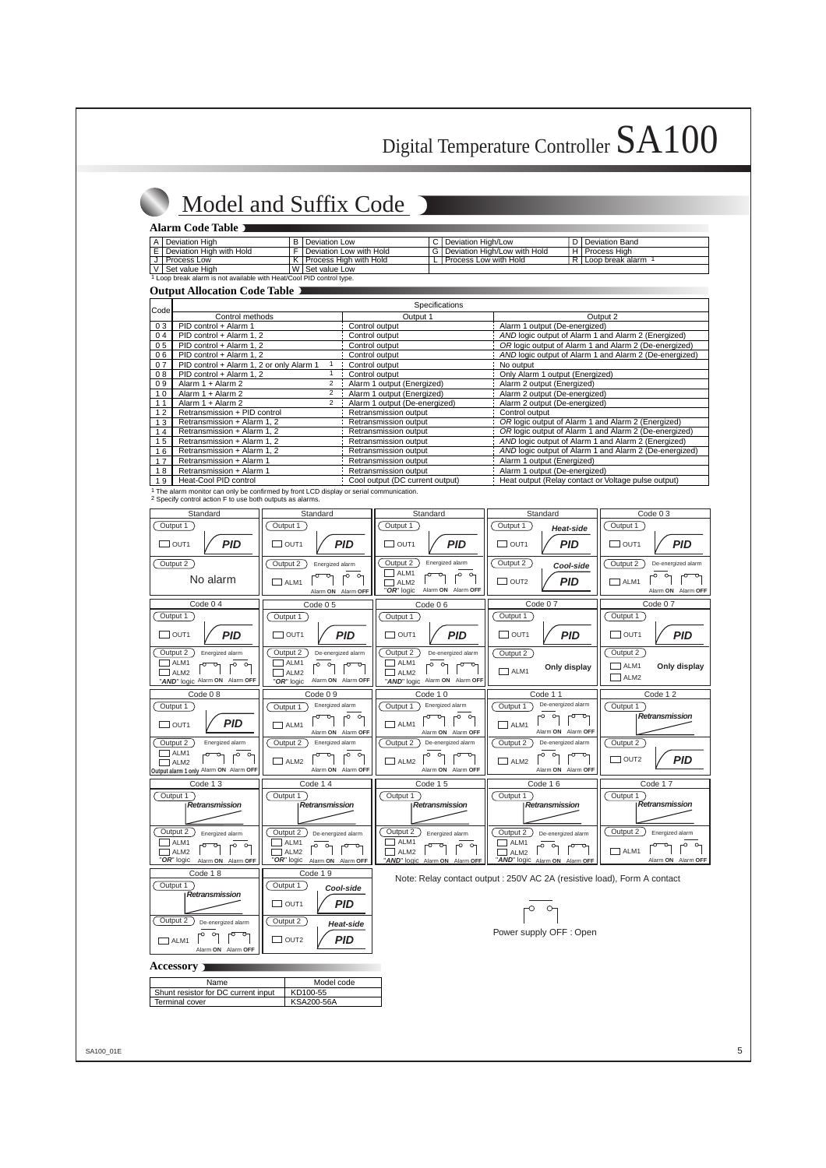## Model and Suffix Code

#### **Alarm Code Table**

| A   Deviation High                                                   | B I Deviation Low           | C   Deviation High/Low           | D I Deviation Band   |
|----------------------------------------------------------------------|-----------------------------|----------------------------------|----------------------|
| E   Deviation High with Hold                                         | F   Deviation Low with Hold | G   Deviation High/Low with Hold | H   Process High     |
| J   Process Low                                                      | K   Process High with Hold  | L丨Process Low with Hold          | R I Loop break alarm |
| V   Set value High                                                   | W Set value Low             |                                  |                      |
| . Loop break alarm is not available with Heat/Cool PID control type. |                             |                                  |                      |

#### **Output Allocation Code Table**

| Code |                                          | Specifications                  |                                                        |
|------|------------------------------------------|---------------------------------|--------------------------------------------------------|
|      | Control methods                          | Output 1                        | Output 2                                               |
| 03   | PID control + Alarm 1                    | Control output                  | Alarm 1 output (De-energized)                          |
| 04   | PID control + Alarm 1, 2                 | Control output                  | AND logic output of Alarm 1 and Alarm 2 (Energized)    |
| 05   | PID control + Alarm 1, 2                 | Control output                  | OR logic output of Alarm 1 and Alarm 2 (De-energized)  |
| 06   | PID control + Alarm 1, 2                 | Control output                  | AND logic output of Alarm 1 and Alarm 2 (De-energized) |
| 07   | PID control + Alarm 1, 2 or only Alarm 1 | Control output                  | No output                                              |
| 08   | PID control + Alarm 1.2                  | Control output                  | Only Alarm 1 output (Energized)                        |
| 09   | Alarm 1 + Alarm 2<br>2                   | Alarm 1 output (Energized)      | Alarm 2 output (Energized)                             |
| 10   | 2<br>Alarm 1 + Alarm 2                   | Alarm 1 output (Energized)      | Alarm 2 output (De-energized)                          |
| 11   | 2<br>Alarm 1 + Alarm 2                   | Alarm 1 output (De-energized)   | Alarm 2 output (De-energized)                          |
| 12   | Retransmission + PID control             | Retransmission output           | Control output                                         |
| 13   | Retransmission + Alarm 1, 2              | Retransmission output           | OR logic output of Alarm 1 and Alarm 2 (Energized)     |
| 14   | Retransmission + Alarm 1, 2              | Retransmission output           | OR logic output of Alarm 1 and Alarm 2 (De-energized)  |
| 15   | Retransmission + Alarm 1, 2              | Retransmission output           | AND logic output of Alarm 1 and Alarm 2 (Energized)    |
| 16   | Retransmission + Alarm 1, 2              | Retransmission output           | AND logic output of Alarm 1 and Alarm 2 (De-energized) |
| 17   | Retransmission + Alarm 1                 | Retransmission output           | Alarm 1 output (Energized)                             |
| 18   | Retransmission + Alarm 1                 | Retransmission output           | Alarm 1 output (De-energized)                          |
| 19   | Heat-Cool PID control                    | Cool output (DC current output) | Heat output (Relay contact or Voltage pulse output)    |

1 The alarm monitor can only be confirmed by front LCD display or serial communication. 2 Specify control action F to use both outputs as alarms.



#### **Accessory**

| Name                                | Model code |  |  |  |  |
|-------------------------------------|------------|--|--|--|--|
| Shunt resistor for DC current input | KD100-55   |  |  |  |  |
| Terminal cover                      | KSA200-56A |  |  |  |  |